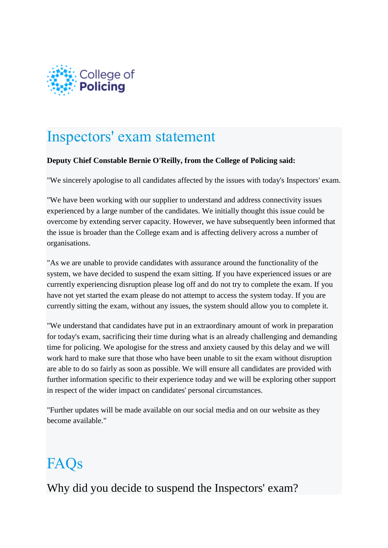

# Inspectors' exam statement

#### **Deputy Chief Constable Bernie O'Reilly, from the College of Policing said:**

"We sincerely apologise to all candidates affected by the issues with today's Inspectors' exam.

"We have been working with our supplier to understand and address connectivity issues experienced by a large number of the candidates. We initially thought this issue could be overcome by extending server capacity. However, we have subsequently been informed that the issue is broader than the College exam and is affecting delivery across a number of organisations.

"As we are unable to provide candidates with assurance around the functionality of the system, we have decided to suspend the exam sitting. If you have experienced issues or are currently experiencing disruption please log off and do not try to complete the exam. If you have not yet started the exam please do not attempt to access the system today. If you are currently sitting the exam, without any issues, the system should allow you to complete it.

"We understand that candidates have put in an extraordinary amount of work in preparation for today's exam, sacrificing their time during what is an already challenging and demanding time for policing. We apologise for the stress and anxiety caused by this delay and we will work hard to make sure that those who have been unable to sit the exam without disruption are able to do so fairly as soon as possible. We will ensure all candidates are provided with further information specific to their experience today and we will be exploring other support in respect of the wider impact on candidates' personal circumstances.

"Further updates will be made available on our social media and on our website as they become available."

# FAQs

Why did you decide to suspend the Inspectors' exam?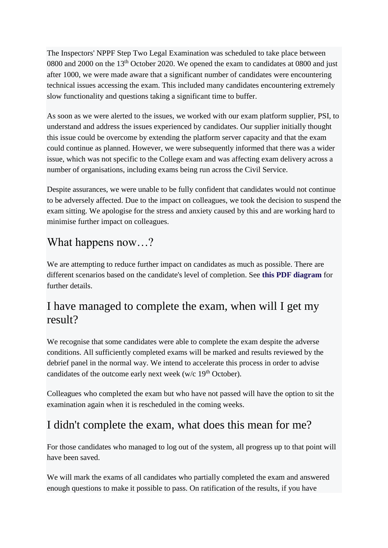The Inspectors' NPPF Step Two Legal Examination was scheduled to take place between 0800 and 2000 on the 13<sup>th</sup> October 2020. We opened the exam to candidates at 0800 and just after 1000, we were made aware that a significant number of candidates were encountering technical issues accessing the exam. This included many candidates encountering extremely slow functionality and questions taking a significant time to buffer.

As soon as we were alerted to the issues, we worked with our exam platform supplier, PSI, to understand and address the issues experienced by candidates. Our supplier initially thought this issue could be overcome by extending the platform server capacity and that the exam could continue as planned. However, we were subsequently informed that there was a wider issue, which was not specific to the College exam and was affecting exam delivery across a number of organisations, including exams being run across the Civil Service.

Despite assurances, we were unable to be fully confident that candidates would not continue to be adversely affected. Due to the impact on colleagues, we took the decision to suspend the exam sitting. We apologise for the stress and anxiety caused by this and are working hard to minimise further impact on colleagues.

#### What happens now…?

We are attempting to reduce further impact on candidates as much as possible. There are different scenarios based on the candidate's level of completion. See **this [PDF diagram](https://www.college.police.uk/What-we-do/Development/Promotion/Documents/Exams-scenarios.pdf)** for further details.

#### I have managed to complete the exam, when will I get my result?

We recognise that some candidates were able to complete the exam despite the adverse conditions. All sufficiently completed exams will be marked and results reviewed by the debrief panel in the normal way. We intend to accelerate this process in order to advise candidates of the outcome early next week (w/c  $19<sup>th</sup>$  October).

Colleagues who completed the exam but who have not passed will have the option to sit the examination again when it is rescheduled in the coming weeks.

### I didn't complete the exam, what does this mean for me?

For those candidates who managed to log out of the system, all progress up to that point will have been saved.

We will mark the exams of all candidates who partially completed the exam and answered enough questions to make it possible to pass. On ratification of the results, if you have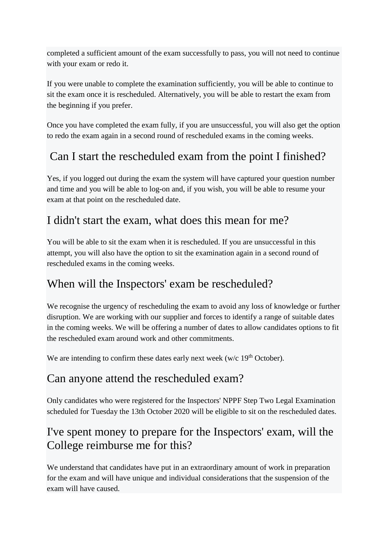completed a sufficient amount of the exam successfully to pass, you will not need to continue with your exam or redo it.

If you were unable to complete the examination sufficiently, you will be able to continue to sit the exam once it is rescheduled. Alternatively, you will be able to restart the exam from the beginning if you prefer.

Once you have completed the exam fully, if you are unsuccessful, you will also get the option to redo the exam again in a second round of rescheduled exams in the coming weeks.

### Can I start the rescheduled exam from the point I finished?

Yes, if you logged out during the exam the system will have captured your question number and time and you will be able to log-on and, if you wish, you will be able to resume your exam at that point on the rescheduled date.

#### I didn't start the exam, what does this mean for me?

You will be able to sit the exam when it is rescheduled. If you are unsuccessful in this attempt, you will also have the option to sit the examination again in a second round of rescheduled exams in the coming weeks.

#### When will the Inspectors' exam be rescheduled?

We recognise the urgency of rescheduling the exam to avoid any loss of knowledge or further disruption. We are working with our supplier and forces to identify a range of suitable dates in the coming weeks. We will be offering a number of dates to allow candidates options to fit the rescheduled exam around work and other commitments.

We are intending to confirm these dates early next week ( $w/c$  19<sup>th</sup> October).

#### Can anyone attend the rescheduled exam?

Only candidates who were registered for the Inspectors' NPPF Step Two Legal Examination scheduled for Tuesday the 13th October 2020 will be eligible to sit on the rescheduled dates.

#### I've spent money to prepare for the Inspectors' exam, will the College reimburse me for this?

We understand that candidates have put in an extraordinary amount of work in preparation for the exam and will have unique and individual considerations that the suspension of the exam will have caused.